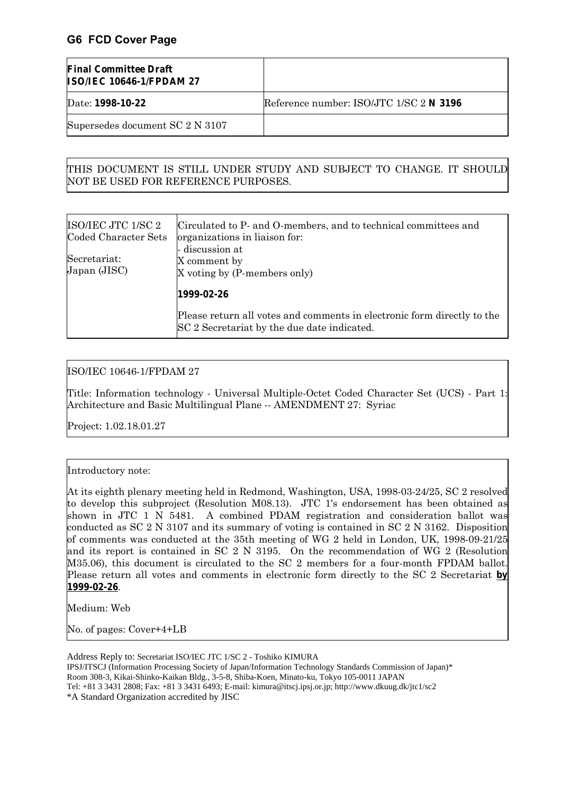## **G6 FCD Cover Page**

| <b>Final Committee Draft</b><br><b>ISO/IEC 10646-1/FPDAM 27</b> |                                         |
|-----------------------------------------------------------------|-----------------------------------------|
| Date: 1998-10-22                                                | Reference number: ISO/JTC 1/SC 2 N 3196 |
| Supersedes document SC 2 N 3107                                 |                                         |

## THIS DOCUMENT IS STILL UNDER STUDY AND SUBJECT TO CHANGE. IT SHOULD NOT BE USED FOR REFERENCE PURPOSES.

| ISO/IEC JTC 1/SC 2<br>Coded Character Sets | Circulated to P- and O-members, and to technical committees and<br>organizations in liaison for:                       |  |  |
|--------------------------------------------|------------------------------------------------------------------------------------------------------------------------|--|--|
| Secretariat:<br>Japan (JISC)               | - discussion at<br>X comment by<br>X voting by (P-members only)                                                        |  |  |
|                                            | 1999-02-26                                                                                                             |  |  |
|                                            | Please return all votes and comments in electronic form directly to the<br>SC 2 Secretariat by the due date indicated. |  |  |

## ISO/IEC 10646-1/FPDAM 27

Title: Information technology - Universal Multiple-Octet Coded Character Set (UCS) - Part 1: Architecture and Basic Multilingual Plane -- AMENDMENT 27: Syriac

Project: 1.02.18.01.27

#### Introductory note:

At its eighth plenary meeting held in Redmond, Washington, USA, 1998-03-24/25, SC 2 resolved to develop this subproject (Resolution M08.13). JTC 1's endorsement has been obtained as shown in JTC 1 N 5481. A combined PDAM registration and consideration ballot was conducted as SC 2 N 3107 and its summary of voting is contained in SC 2 N 3162. Disposition of comments was conducted at the 35th meeting of WG 2 held in London, UK, 1998-09-21/25 and its report is contained in SC 2 N 3195. On the recommendation of WG 2 (Resolution M35.06), this document is circulated to the SC 2 members for a four-month FPDAM ballot. Please return all votes and comments in electronic form directly to the SC 2 Secretariat **by 1999-02-26**.

Medium: Web

No. of pages: Cover+4+LB

Address Reply to: Secretariat ISO/IEC JTC 1/SC 2 - Toshiko KIMURA IPSJ/ITSCJ (Information Processing Society of Japan/Information Technology Standards Commission of Japan)\* Room 308-3, Kikai-Shinko-Kaikan Bldg., 3-5-8, Shiba-Koen, Minato-ku, Tokyo 105-0011 JAPAN Tel: +81 3 3431 2808; Fax: +81 3 3431 6493; E-mail: kimura@itscj.ipsj.or.jp; http://www.dkuug.dk/jtc1/sc2 \*A Standard Organization accredited by JISC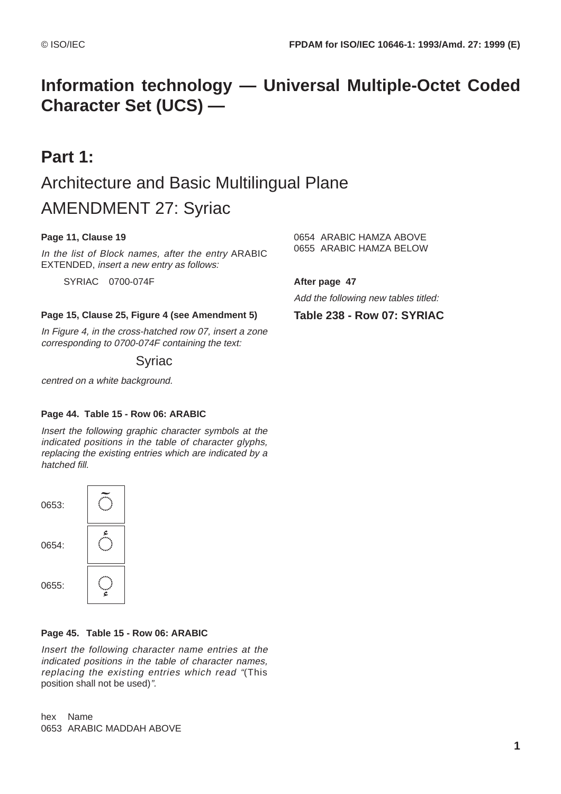## **Information technology — Universal Multiple-Octet Coded Character Set (UCS) —**

## **Part 1:**

# Architecture and Basic Multilingual Plane AMENDMENT 27: Syriac

## **Page 11, Clause 19**

In the list of Block names, after the entry ARABIC EXTENDED, insert a new entry as follows:

SYRIAC 0700-074F

#### **Page 15, Clause 25, Figure 4 (see Amendment 5)**

In Figure 4, in the cross-hatched row 07, insert a zone corresponding to 0700-074F containing the text:

## Syriac

centred on a white background.

## **Page 44. Table 15 - Row 06: ARABIC**

Insert the following graphic character symbols at the indicated positions in the table of character glyphs, replacing the existing entries which are indicated by a hatched fill.



#### **Page 45. Table 15 - Row 06: ARABIC**

Insert the following character name entries at the indicated positions in the table of character names, replacing the existing entries which read "(This position shall not be used)".

hex Name 0653 ARABIC MADDAH ABOVE 0654 ARABIC HAMZA ABOVE 0655 ARABIC HAMZA BELOW

## **After page 47**

Add the following new tables titled:

#### **Table 238 - Row 07: SYRIAC**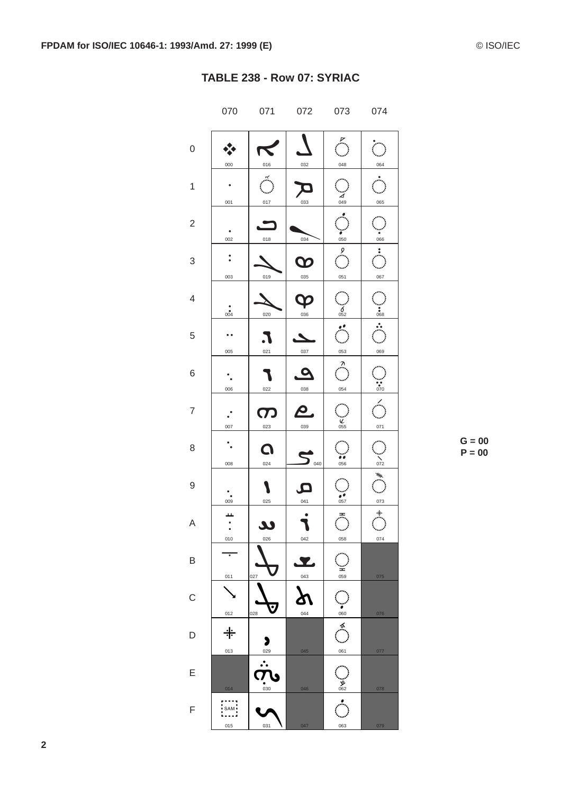|                  |               | 070  071  072  073 |                  |                      | 074                             |
|------------------|---------------|--------------------|------------------|----------------------|---------------------------------|
| $\boldsymbol{0}$ | 000           | 016                | 032              | 048                  | 064                             |
| 1                | 001           | 017                | 033              | $\frac{2}{4}$ 049    | 065                             |
| $\overline{2}$   | 002           | 018                | 034              | $rac{1}{\sqrt{10}}$  | 066                             |
| 3                | 003           | 019                | 035              | $\frac{1}{2}$<br>051 | 067                             |
| 4                | 004           | 020                | 036              | $rac{\delta}{0.52}$  | $rac{1}{068}$                   |
| 5                | 005           | 021                | 037              | 053                  | 069                             |
| 6                | 006           | 022                | 038              | $\Omega$<br>054      | $\frac{1}{070}$                 |
| $\overline{7}$   | 007           | <b>CD</b><br>023   | <u>୦</u><br>039  | $rac{C}{055}$        | 071                             |
| 8                | 008           | 024                | 040              | 056                  | $\frac{1}{072}$                 |
| 9                | 009           | 025                | 041              | 057                  | <b><i><b>HHL</b></i></b><br>073 |
| $\mathsf A$      | ᅭ<br>٠<br>010 | 026                | $\bullet$<br>042 | فممهو<br>058         | $\pm$<br>أسيأ<br>074            |
| B                | 011           | 027                | 043              | ᆂ<br>059             | 075                             |
| C                | 012           | 028                | 044              | $rac{1}{\sqrt{2}}$   | 076                             |
| D                | ╬<br>013      | 029                | 045              | 061                  | 077                             |
| Ε                | 014           | 030                | 046              | $\sum_{062}$         | 078                             |
| F                | SAM .<br>015  | 031                | 047              | 063                  | 079                             |

|  |  | TABLE 238 - Row 07: SYRIAC |
|--|--|----------------------------|
|  |  |                            |

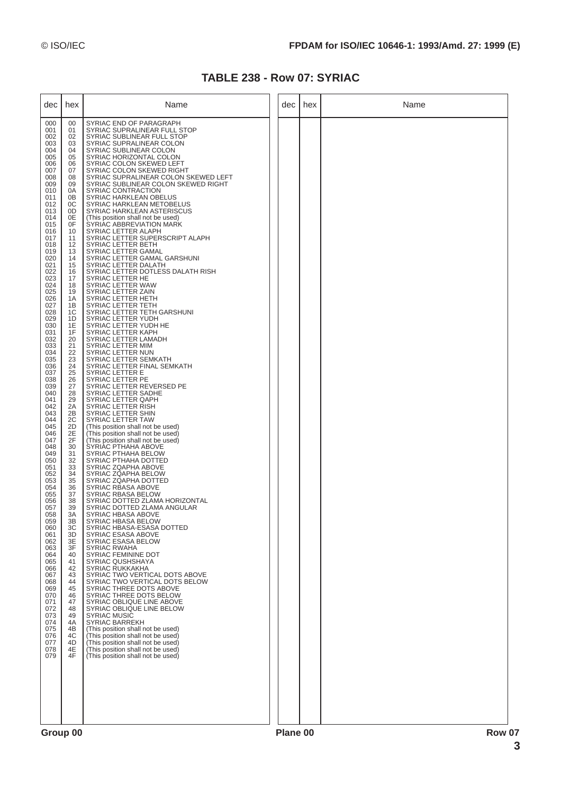## **TABLE 238 - Row 07: SYRIAC**

| dec                                                                                                                                                                                                                                                                                                                                                                                                                                                                                                                                                                          | hex                                                                                                                                                                                                                                                                                                                                                                                                                                                                                                      | Name                                                                                                                                                                                                                                                                                                                                                                                                                                                                                                                                                                                                                                                                                                                                                                                                                                                                                                                                                                                                                                                                                                                                                                                                                                                                                                                                                                                                                                                                                                                                                                                                                                                                                                                                                                                                                                                                                                                                                                                                                                                                                                                                                                                                                                     | dec      | hex | Name          |  |
|------------------------------------------------------------------------------------------------------------------------------------------------------------------------------------------------------------------------------------------------------------------------------------------------------------------------------------------------------------------------------------------------------------------------------------------------------------------------------------------------------------------------------------------------------------------------------|----------------------------------------------------------------------------------------------------------------------------------------------------------------------------------------------------------------------------------------------------------------------------------------------------------------------------------------------------------------------------------------------------------------------------------------------------------------------------------------------------------|------------------------------------------------------------------------------------------------------------------------------------------------------------------------------------------------------------------------------------------------------------------------------------------------------------------------------------------------------------------------------------------------------------------------------------------------------------------------------------------------------------------------------------------------------------------------------------------------------------------------------------------------------------------------------------------------------------------------------------------------------------------------------------------------------------------------------------------------------------------------------------------------------------------------------------------------------------------------------------------------------------------------------------------------------------------------------------------------------------------------------------------------------------------------------------------------------------------------------------------------------------------------------------------------------------------------------------------------------------------------------------------------------------------------------------------------------------------------------------------------------------------------------------------------------------------------------------------------------------------------------------------------------------------------------------------------------------------------------------------------------------------------------------------------------------------------------------------------------------------------------------------------------------------------------------------------------------------------------------------------------------------------------------------------------------------------------------------------------------------------------------------------------------------------------------------------------------------------------------------|----------|-----|---------------|--|
| 000<br>001<br>002<br>003<br>004<br>005<br>006<br>007<br>008<br>009<br>010<br>011<br>012<br>013<br>014<br>015<br>016<br>017<br>018<br>019<br>020<br>021<br>022<br>023<br>024<br>025<br>026<br>027<br>028<br>029<br>030<br>031<br>032<br>033<br>034<br>035<br>036<br>037<br>038<br>039<br>040<br>041<br>042<br>043<br>044<br>045<br>046<br>047<br>048<br>049<br>050<br>051<br>052<br>053<br>054<br>055<br>056<br>057<br>058<br>059<br>060<br>061<br>062<br>063<br>064<br>065<br>066<br>067<br>068<br>069<br>070<br>071<br>072<br>073<br>074<br>075<br>076<br>077<br>078<br>079 | 00<br>01<br>02<br>03<br>04<br>05<br>06<br>07<br>08<br>09<br>0A<br>0 <sub>B</sub><br>0C<br>0D<br>0E<br>0F<br>10<br>11<br>12<br>13<br>14<br>15<br>16<br>17<br>18<br>19<br>1A<br>1B<br>1C<br>1D<br>1E<br>1F<br>20<br>21<br>22<br>23<br>24<br>25<br>26<br>27<br>28<br>29<br>2A<br>2B<br>2C<br>2D<br>2E<br>2F<br>30<br>31<br>32<br>33<br>34<br>35<br>36<br>37<br>38<br>39<br>3A<br>3B<br>3C<br>3D<br>3E<br>3F<br>40<br>41<br>42<br>43<br>44<br>45<br>46<br>47<br>48<br>49<br>4A<br>4B<br>4C<br>4D<br>4E<br>4F | SYRIAC END OF PARAGRAPH<br>SYRIAC SUPRALINEAR FULL STOP<br>SYRIAC SUBLINEAR FULL STOP<br>SYRIAC SUPRALINEAR COLON<br>SYRIAC SUBLINEAR COLON<br>SYRIAC HORIZONTAL COLON<br>SYRIAC COLON SKEWED LEFT<br>SYRIAC COLON SKEWED RIGHT<br>SYRIAC SUPRALINEAR COLON SKEWED LEFT<br>SYRIAC SUBLINEAR COLON SKEWED RIGHT<br>SYRIAC CONTRACTION<br>SYRIAC HARKLEAN OBELUS<br>SYRIAC HARKLEAN METOBELUS<br>SYRIAC HARKLEAN ASTERISCUS<br>(This position shall not be used)<br>SYRIAC ABBREVIATION MARK<br>SYRIAC LETTER ALAPH<br>SYRIAC LETTER SUPERSCRIPT ALAPH<br>SYRIAC LETTER BETH<br>SYRIAC LETTER GAMAL<br>SYRIAC LETTER GAMAL GARSHUNI<br>SYRIAC LETTER DALATH<br>SYRIAC LETTER DOTLESS DALATH RISH<br>SYRIAC LETTER HE<br>SYRIAC LETTER WAW<br>SYRIAC LETTER ZAIN<br>SYRIAC LETTER HETH<br>SYRIAC LETTER TETH<br>SYRIAC LETTER TETH GARSHUNI<br>SYRIAC LETTER YUDH<br>SYRIAC LETTER YUDH HE<br>SYRIAC LETTER KAPH<br>SYRIAC LETTER LAMADH<br>SYRIAC LETTER MIM<br>SYRIAC LETTER NUN<br>SYRIAC LETTER SEMKATH<br>SYRIAC LETTER FINAL SEMKATH<br>SYRIAC LETTER E<br>SYRIAC LETTER PE<br>SYRIAC LETTER REVERSED PE<br>SYRIAC LETTER SADHE<br>SYRIAC LETTER QAPH<br>SYRIAC LETTER RISH<br>SYRIAC LETTER SHIN<br>SYRIAC LETTER TAW<br>(This position shall not be used)<br>(This position shall not be used)<br>(This position shall not be used)<br>SYRIAC PTHAHA ABOVE<br>SYRIAC PTHAHA BELOW<br>SYRIAC PTHAHA DOTTED<br>SYRIAC ZQAPHA ABOVE<br>SYRIAC ZQAPHA BELOW<br>SYRIAC ZQAPHA DOTTED<br>SYRIAC RBASA ABOVE<br>SYRIAC RBASA BELOW<br>SYRIAC DOTTED ZLAMA HORIZONTAL<br>SYRIAC DOTTED ZLAMA ANGULAR<br>SYRIAC HBASA ABOVE<br>SYRIAC HBASA BELOW<br>SYRIAC HBASA-ESASA DOTTED<br>SYRIAC ESASA ABOVE<br>SYRIAC ESASA BELOW<br><b>SYRIAC RWAHA</b><br>SYRIAC FEMININE DOT<br>SYRIAC QUSHSHAYA<br>SYRIAC RUKKAKHA<br>SYRIAC TWO VERTICAL DOTS ABOVE<br>SYRIAC TWO VERTICAL DOTS BELOW<br>SYRIAC THREE DOTS ABOVE<br>SYRIAC THREE DOTS BELOW<br>SYRIAC OBLIQUE LINE ABOVE<br>SYRIAC OBLIQUE LINE BELOW<br><b>SYRIAC MUSIC</b><br><b>SYRIAC BARREKH</b><br>(This position shall not be used)<br>(This position shall not be used)<br>(This position shall not be used)<br>(This position shall not be used)<br>(This position shall not be used) |          |     |               |  |
|                                                                                                                                                                                                                                                                                                                                                                                                                                                                                                                                                                              | Group 00                                                                                                                                                                                                                                                                                                                                                                                                                                                                                                 |                                                                                                                                                                                                                                                                                                                                                                                                                                                                                                                                                                                                                                                                                                                                                                                                                                                                                                                                                                                                                                                                                                                                                                                                                                                                                                                                                                                                                                                                                                                                                                                                                                                                                                                                                                                                                                                                                                                                                                                                                                                                                                                                                                                                                                          | Plane 00 |     | <b>Row 07</b> |  |